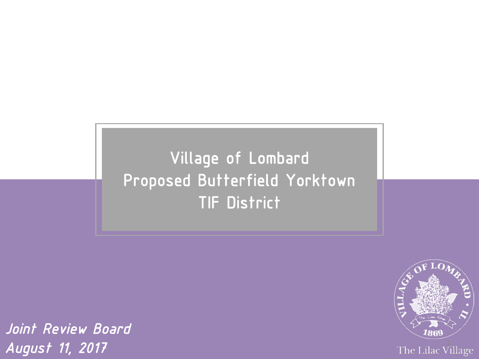### Village of Lombard Proposed Butterfield Yorktown TIF District

The Lilac Village

*Joint Review Board August 11, 2017*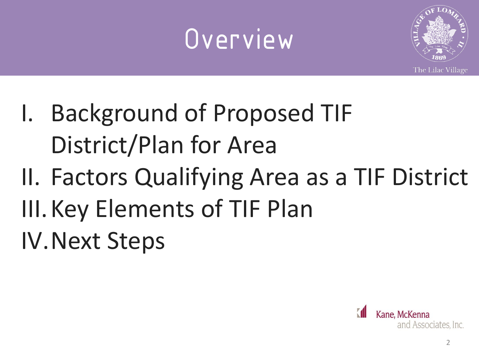### Overview



- I. Background of Proposed TIF District/Plan for Area
- II. Factors Qualifying Area as a TIF District
- III.Key Elements of TIF Plan

IV.Next Steps

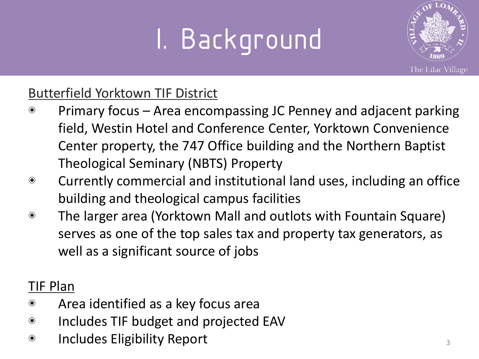

#### Butterfield Yorktown TIF District

- ◉ Primary focus Area encompassing JC Penney and adjacent parking field, Westin Hotel and Conference Center, Yorktown Convenience Center property, the 747 Office building and the Northern Baptist Theological Seminary (NBTS) Property
- ◉ Currently commercial and institutional land uses, including an office building and theological campus facilities
- ◉ The larger area (Yorktown Mall and outlots with Fountain Square) serves as one of the top sales tax and property tax generators, as well as a significant source of jobs

#### TIF Plan

- ◉ Area identified as a key focus area
- ◉ Includes TIF budget and projected EAV
- ◉ Includes Eligibility Report <sup>3</sup>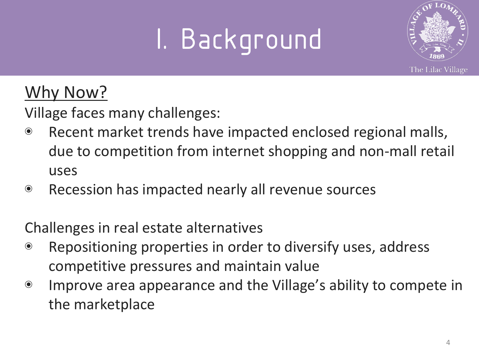

### Why Now?

Village faces many challenges:

- ◉ Recent market trends have impacted enclosed regional malls, due to competition from internet shopping and non-mall retail uses
- ◉ Recession has impacted nearly all revenue sources

Challenges in real estate alternatives

- ◉ Repositioning properties in order to diversify uses, address competitive pressures and maintain value
- ◉ Improve area appearance and the Village's ability to compete in the marketplace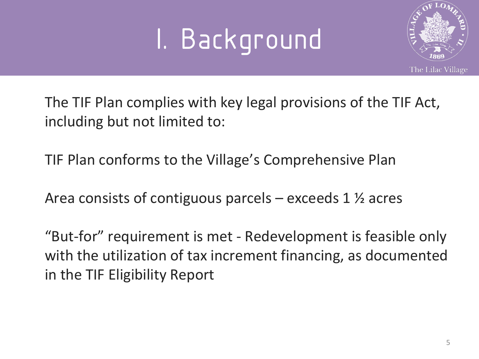

The TIF Plan complies with key legal provisions of the TIF Act, including but not limited to:

TIF Plan conforms to the Village's Comprehensive Plan

Area consists of contiguous parcels – exceeds 1 ½ acres

"But-for" requirement is met - Redevelopment is feasible only with the utilization of tax increment financing, as documented in the TIF Eligibility Report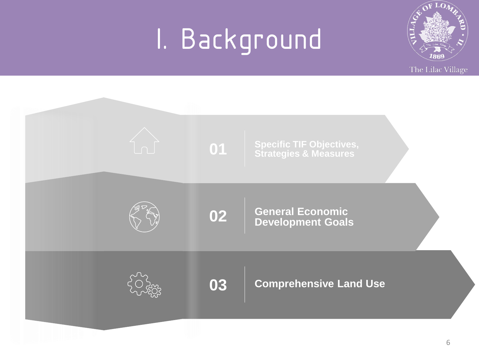

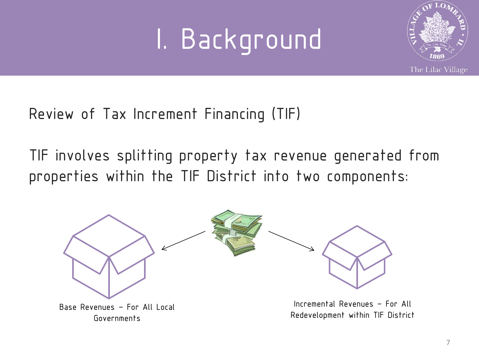

Review of Tax Increment Financing (TIF)

TIF involves splitting property tax revenue generated from properties within the TIF District into two components:

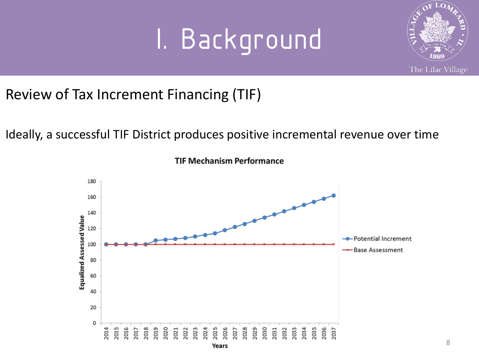

Review of Tax Increment Financing (TIF)

Ideally, a successful TIF District produces positive incremental revenue over time



**TIF Mechanism Performance**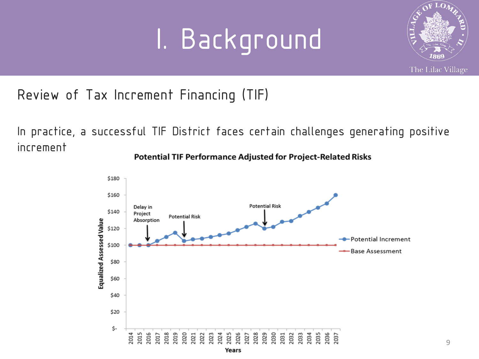

Review of Tax Increment Financing (TIF)

In practice, a successful TIF District faces certain challenges generating positive increment



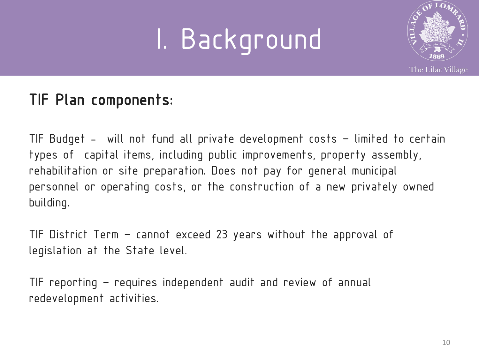

### TIF Plan components:

TIF Budget - will not fund all private development costs – limited to certain types of capital items, including public improvements, property assembly, rehabilitation or site preparation. Does not pay for general municipal personnel or operating costs, or the construction of a new privately owned building.

TIF District Term – cannot exceed 23 years without the approval of legislation at the State level.

TIF reporting – requires independent audit and review of annual redevelopment activities.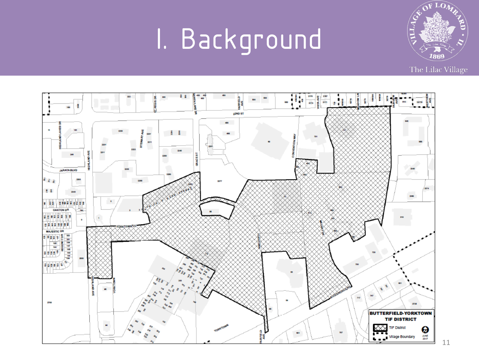

The Lilac Village



11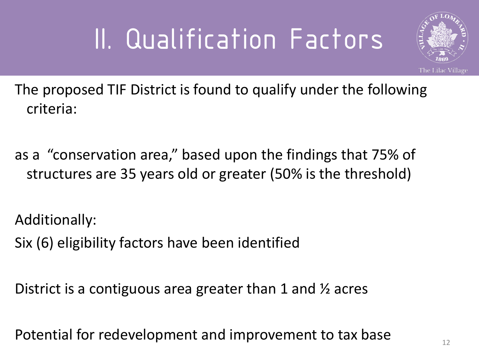

The proposed TIF District is found to qualify under the following criteria:

as a "conservation area," based upon the findings that 75% of structures are 35 years old or greater (50% is the threshold)

Additionally:

Six (6) eligibility factors have been identified

District is a contiguous area greater than 1 and ½ acres

Potential for redevelopment and improvement to tax base  $\frac{1}{12}$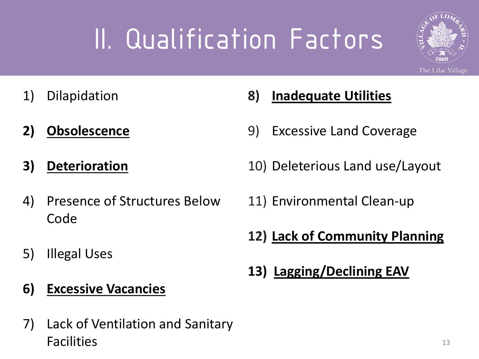

- 1) Dilapidation
- **2) Obsolescence**
- **3) Deterioration**
- 4) Presence of Structures Below Code
- 5) Illegal Uses
- **6) Excessive Vacancies**
- 7) Lack of Ventilation and Sanitary Facilities
- **8) Inadequate Utilities**
- 9) Excessive Land Coverage
- 10) Deleterious Land use/Layout
- 11) Environmental Clean-up
- **12) Lack of Community Planning**
- **13) Lagging/Declining EAV**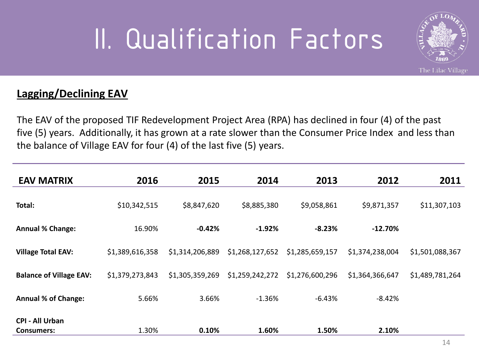

#### **Lagging/Declining EAV**

The EAV of the proposed TIF Redevelopment Project Area (RPA) has declined in four (4) of the past five (5) years. Additionally, it has grown at a rate slower than the Consumer Price Index and less than the balance of Village EAV for four (4) of the last five (5) years.

| <b>EAV MATRIX</b>              | 2016            | 2015            | 2014            | 2013            | 2012            | 2011            |
|--------------------------------|-----------------|-----------------|-----------------|-----------------|-----------------|-----------------|
| Total:                         | \$10,342,515    | \$8,847,620     | \$8,885,380     | \$9,058,861     | \$9,871,357     | \$11,307,103    |
|                                |                 |                 |                 |                 |                 |                 |
| <b>Annual % Change:</b>        | 16.90%          | $-0.42%$        | $-1.92%$        | $-8.23%$        | $-12.70%$       |                 |
| <b>Village Total EAV:</b>      | \$1,389,616,358 | \$1,314,206,889 | \$1,268,127,652 | \$1,285,659,157 | \$1,374,238,004 | \$1,501,088,367 |
| <b>Balance of Village EAV:</b> | \$1,379,273,843 | \$1,305,359,269 | \$1,259,242,272 | \$1,276,600,296 | \$1,364,366,647 | \$1,489,781,264 |
| <b>Annual % of Change:</b>     | 5.66%           | 3.66%           | $-1.36%$        | $-6.43%$        | $-8.42%$        |                 |
| <b>CPI - All Urban</b>         |                 |                 |                 |                 |                 |                 |
| <b>Consumers:</b>              | 1.30%           | 0.10%           | 1.60%           | 1.50%           | 2.10%           |                 |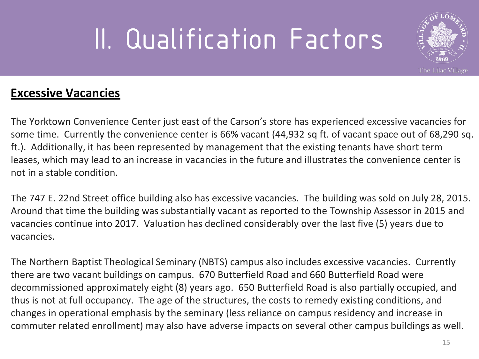

#### **Excessive Vacancies**

The Yorktown Convenience Center just east of the Carson's store has experienced excessive vacancies for some time. Currently the convenience center is 66% vacant (44,932 sq ft. of vacant space out of 68,290 sq. ft.). Additionally, it has been represented by management that the existing tenants have short term leases, which may lead to an increase in vacancies in the future and illustrates the convenience center is not in a stable condition.

The 747 E. 22nd Street office building also has excessive vacancies. The building was sold on July 28, 2015. Around that time the building was substantially vacant as reported to the Township Assessor in 2015 and vacancies continue into 2017. Valuation has declined considerably over the last five (5) years due to vacancies.

The Northern Baptist Theological Seminary (NBTS) campus also includes excessive vacancies. Currently there are two vacant buildings on campus. 670 Butterfield Road and 660 Butterfield Road were decommissioned approximately eight (8) years ago. 650 Butterfield Road is also partially occupied, and thus is not at full occupancy. The age of the structures, the costs to remedy existing conditions, and changes in operational emphasis by the seminary (less reliance on campus residency and increase in commuter related enrollment) may also have adverse impacts on several other campus buildings as well.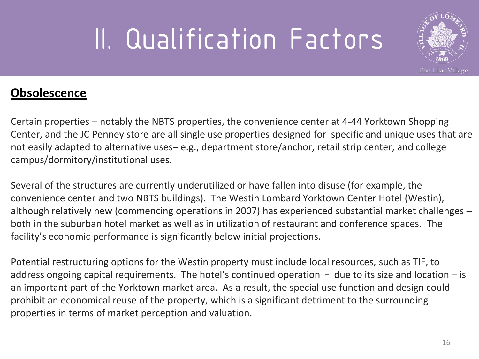

#### **Obsolescence**

Certain properties – notably the NBTS properties, the convenience center at 4-44 Yorktown Shopping Center, and the JC Penney store are all single use properties designed for specific and unique uses that are not easily adapted to alternative uses– e.g., department store/anchor, retail strip center, and college campus/dormitory/institutional uses.

Several of the structures are currently underutilized or have fallen into disuse (for example, the convenience center and two NBTS buildings). The Westin Lombard Yorktown Center Hotel (Westin), although relatively new (commencing operations in 2007) has experienced substantial market challenges – both in the suburban hotel market as well as in utilization of restaurant and conference spaces. The facility's economic performance is significantly below initial projections.

Potential restructuring options for the Westin property must include local resources, such as TIF, to address ongoing capital requirements. The hotel's continued operation  $-$  due to its size and location  $-$  is an important part of the Yorktown market area. As a result, the special use function and design could prohibit an economical reuse of the property, which is a significant detriment to the surrounding properties in terms of market perception and valuation.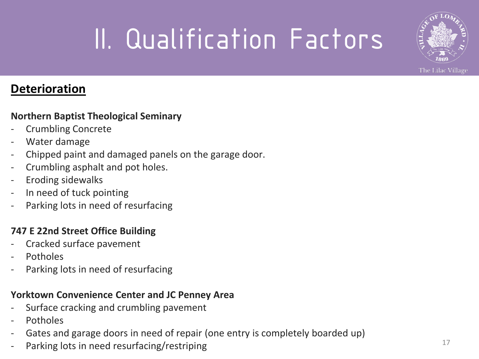

#### **Deterioration**

#### **Northern Baptist Theological Seminary**

- Crumbling Concrete
- Water damage
- Chipped paint and damaged panels on the garage door.
- Crumbling asphalt and pot holes.
- Eroding sidewalks
- In need of tuck pointing
- Parking lots in need of resurfacing

#### **747 E 22nd Street Office Building**

- Cracked surface pavement
- **Potholes**
- Parking lots in need of resurfacing

#### **Yorktown Convenience Center and JC Penney Area**

- Surface cracking and crumbling pavement
- **Potholes**
- Gates and garage doors in need of repair (one entry is completely boarded up)
- Parking lots in need resurfacing/restriping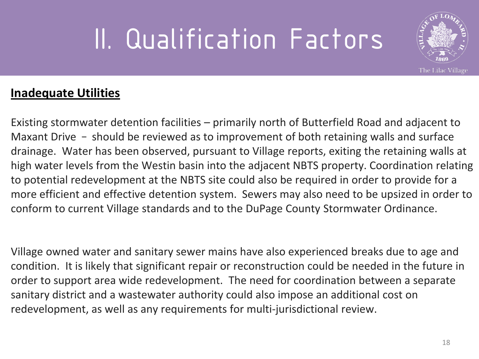

#### **Inadequate Utilities**

Existing stormwater detention facilities – primarily north of Butterfield Road and adjacent to Maxant Drive – should be reviewed as to improvement of both retaining walls and surface drainage. Water has been observed, pursuant to Village reports, exiting the retaining walls at high water levels from the Westin basin into the adjacent NBTS property. Coordination relating to potential redevelopment at the NBTS site could also be required in order to provide for a more efficient and effective detention system. Sewers may also need to be upsized in order to conform to current Village standards and to the DuPage County Stormwater Ordinance.

Village owned water and sanitary sewer mains have also experienced breaks due to age and condition. It is likely that significant repair or reconstruction could be needed in the future in order to support area wide redevelopment. The need for coordination between a separate sanitary district and a wastewater authority could also impose an additional cost on redevelopment, as well as any requirements for multi-jurisdictional review.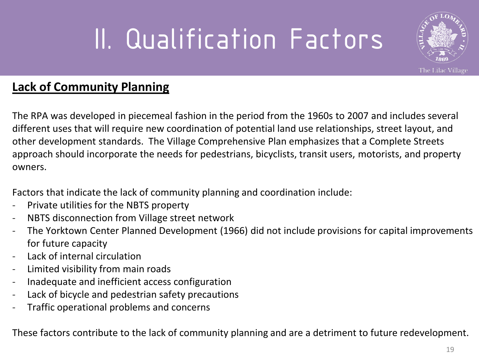

#### **Lack of Community Planning**

The RPA was developed in piecemeal fashion in the period from the 1960s to 2007 and includes several different uses that will require new coordination of potential land use relationships, street layout, and other development standards. The Village Comprehensive Plan emphasizes that a Complete Streets approach should incorporate the needs for pedestrians, bicyclists, transit users, motorists, and property owners.

Factors that indicate the lack of community planning and coordination include:

- Private utilities for the NBTS property
- NBTS disconnection from Village street network
- The Yorktown Center Planned Development (1966) did not include provisions for capital improvements for future capacity
- Lack of internal circulation
- Limited visibility from main roads
- Inadequate and inefficient access configuration
- Lack of bicycle and pedestrian safety precautions
- Traffic operational problems and concerns

These factors contribute to the lack of community planning and are a detriment to future redevelopment.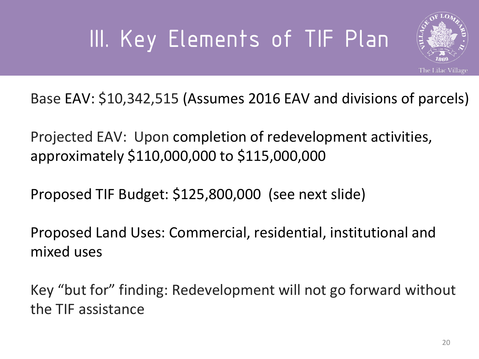### III. Key Elements of TIF Plan



Base EAV: \$10,342,515 (Assumes 2016 EAV and divisions of parcels)

Projected EAV: Upon completion of redevelopment activities, approximately \$110,000,000 to \$115,000,000

Proposed TIF Budget: \$125,800,000 (see next slide)

Proposed Land Uses: Commercial, residential, institutional and mixed uses

Key "but for" finding: Redevelopment will not go forward without the TIF assistance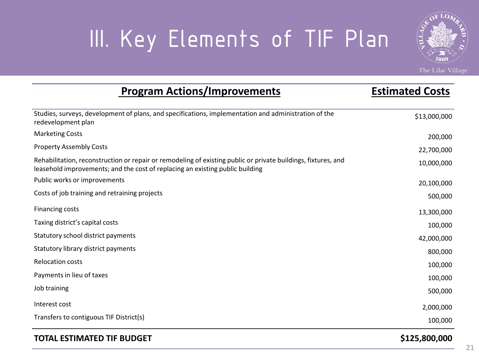### III. Key Elements of TIF Plan

**Program Actions/Improvements Estimated Costs**



The Lilac Village

| Program Actions/Improvements                                                                                                                                                                   | ESUIHALEU CUSIS |
|------------------------------------------------------------------------------------------------------------------------------------------------------------------------------------------------|-----------------|
| Studies, surveys, development of plans, and specifications, implementation and administration of the<br>redevelopment plan                                                                     | \$13,000,000    |
| <b>Marketing Costs</b>                                                                                                                                                                         | 200,000         |
| <b>Property Assembly Costs</b>                                                                                                                                                                 | 22,700,000      |
| Rehabilitation, reconstruction or repair or remodeling of existing public or private buildings, fixtures, and<br>leasehold improvements; and the cost of replacing an existing public building | 10,000,000      |
| Public works or improvements                                                                                                                                                                   | 20,100,000      |
| Costs of job training and retraining projects                                                                                                                                                  | 500,000         |
| <b>Financing costs</b>                                                                                                                                                                         | 13,300,000      |
| Taxing district's capital costs                                                                                                                                                                | 100,000         |
| Statutory school district payments                                                                                                                                                             | 42,000,000      |
| Statutory library district payments                                                                                                                                                            | 800,000         |
| <b>Relocation costs</b>                                                                                                                                                                        | 100,000         |
| Payments in lieu of taxes                                                                                                                                                                      | 100,000         |
| Job training                                                                                                                                                                                   | 500,000         |
| Interest cost                                                                                                                                                                                  | 2,000,000       |
| Transfers to contiguous TIF District(s)                                                                                                                                                        | 100,000         |
|                                                                                                                                                                                                |                 |

#### **TOTAL ESTIMATED TIF BUDGET \$125,800,000**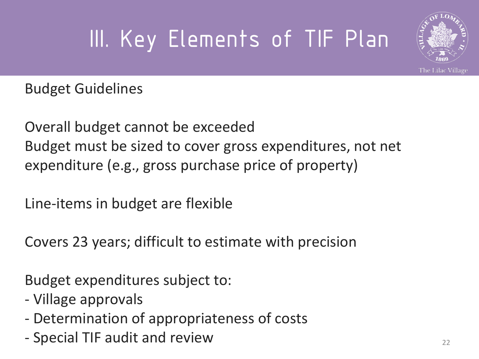### III. Key Elements of TIF Plan



Budget Guidelines

Overall budget cannot be exceeded Budget must be sized to cover gross expenditures, not net expenditure (e.g., gross purchase price of property)

Line-items in budget are flexible

Covers 23 years; difficult to estimate with precision

Budget expenditures subject to:

- Village approvals
- Determination of appropriateness of costs
- Special TIF audit and review <sup>22</sup>